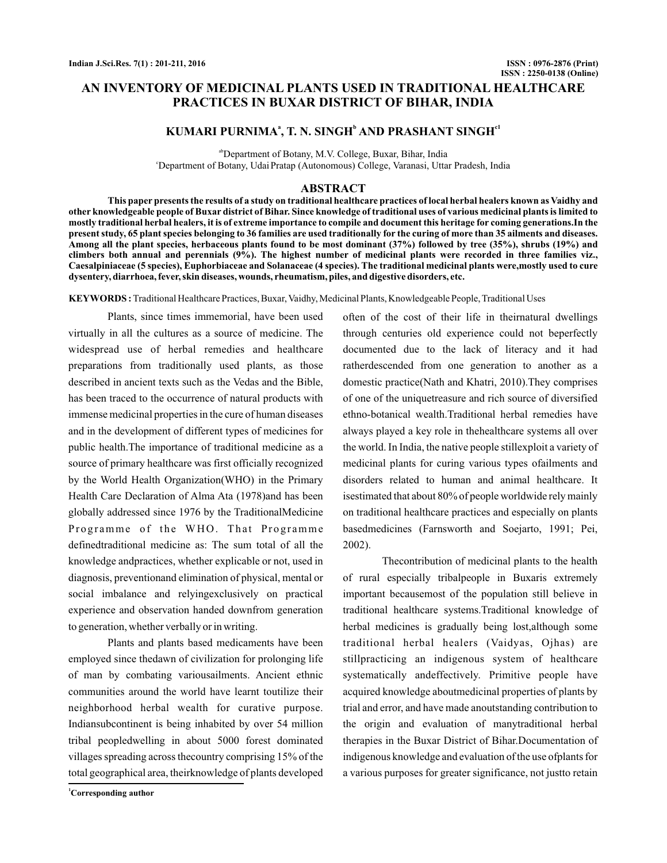# **AN INVENTORY OF MEDICINAL PLANTS USED IN TRADITIONAL HEALTHCARE PRACTICES IN BUXAR DISTRICT OF BIHAR, INDIA**

# KUMARI PURNIMA<sup>ª</sup>, T. N. SINGH<sup>b</sup> AND PRASHANT SINGH<sup>e1</sup>

ab Department of Botany, M.V. College, Buxar, Bihar, India c Department of Botany, UdaiPratap (Autonomous) College, Varanasi, Uttar Pradesh, India

### **ABSTRACT**

**This paper presents the results of a study on traditional healthcare practices of local herbal healers known as Vaidhy and other knowledgeable people of Buxar district of Bihar. Since knowledge of traditional uses of various medicinal plants is limited to mostly traditional herbal healers, it is of extreme importance to compile and document this heritage for coming generations.In the present study, 65 plant species belonging to 36 families are used traditionally for the curing of more than 35 ailments and diseases. Among all the plant species, herbaceous plants found to be most dominant (37%) followed by tree (35%), shrubs (19%) and climbers both annual and perennials (9%). The highest number of medicinal plants were recorded in three families viz., Caesalpiniaceae (5 species), Euphorbiaceae and Solanaceae (4 species). The traditional medicinal plants were,mostly used to cure dysentery, diarrhoea, fever, skin diseases, wounds, rheumatism, piles, and digestive disorders, etc.**

KEYWORDS: Traditional Healthcare Practices, Buxar, Vaidhy, Medicinal Plants, Knowledgeable People, Traditional Uses

Plants, since times immemorial, have been used virtually in all the cultures as a source of medicine. The widespread use of herbal remedies and healthcare preparations from traditionally used plants, as those described in ancient texts such as the Vedas and the Bible, has been traced to the occurrence of natural products with immense medicinal properties in the cure of human diseases and in the development of different types of medicines for public health.The importance of traditional medicine as a source of primary healthcare was first officially recognized by the World Health Organization(WHO) in the Primary Health Care Declaration of Alma Ata (1978)and has been globally addressed since 1976 by the TraditionalMedicine Programme of the WHO. That Programme definedtraditional medicine as: The sum total of all the knowledge andpractices, whether explicable or not, used in diagnosis, preventionand elimination of physical, mental or social imbalance and relyingexclusively on practical experience and observation handed downfrom generation to generation, whether verbally or in writing.

Plants and plants based medicaments have been employed since thedawn of civilization for prolonging life of man by combating variousailments. Ancient ethnic communities around the world have learnt toutilize their neighborhood herbal wealth for curative purpose. Indiansubcontinent is being inhabited by over 54 million tribal peopledwelling in about 5000 forest dominated villages spreading across thecountry comprising 15% of the total geographical area, theirknowledge of plants developed

**<sup>1</sup>Corresponding author**

often of the cost of their life in theirnatural dwellings through centuries old experience could not beperfectly documented due to the lack of literacy and it had ratherdescended from one generation to another as a domestic practice(Nath and Khatri, 2010).They comprises of one of the uniquetreasure and rich source of diversified ethno-botanical wealth.Traditional herbal remedies have always played a key role in thehealthcare systems all over the world. In India, the native people stillexploit a variety of medicinal plants for curing various types ofailments and disorders related to human and animal healthcare. It isestimated that about 80% of people worldwide rely mainly on traditional healthcare practices and especially on plants basedmedicines (Farnsworth and Soejarto, 1991; Pei, 2002).

Thecontribution of medicinal plants to the health of rural especially tribalpeople in Buxaris extremely important becausemost of the population still believe in traditional healthcare systems.Traditional knowledge of herbal medicines is gradually being lost,although some traditional herbal healers (Vaidyas, Ojhas) are stillpracticing an indigenous system of healthcare systematically andeffectively. Primitive people have acquired knowledge aboutmedicinal properties of plants by trial and error, and have made anoutstanding contribution to the origin and evaluation of manytraditional herbal therapies in the Buxar District of Bihar.Documentation of indigenous knowledge and evaluation of the use ofplants for a various purposes for greater significance, not justto retain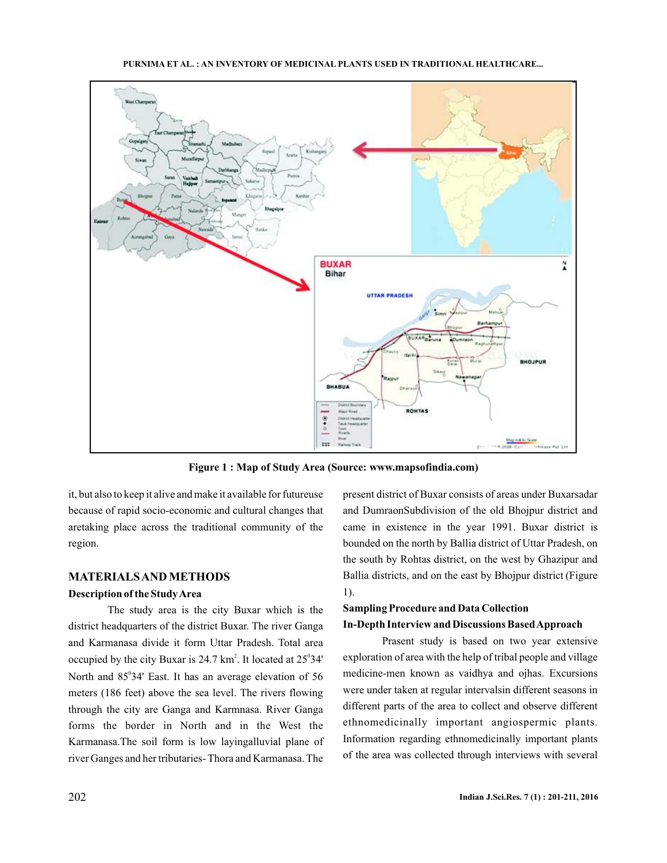

**Figure 1 : Map of Study Area (Source: www.mapsofindia.com)**

it, but also to keep it alive and make it available for futureuse because of rapid socio-economic and cultural changes that aretaking place across the traditional community of the region.

# **MATERIALSAND METHODS**

## **Description of the StudyArea**

The study area is the city Buxar which is the district headquarters of the district Buxar. The river Ganga and Karmanasa divide it form Uttar Pradesh. Total area occupied by the city Buxar is  $24.7 \text{ km}^2$ . It located at  $25^{\circ}34'$ North and 85°34' East. It has an average elevation of 56 meters (186 feet) above the sea level. The rivers flowing through the city are Ganga and Karmnasa. River Ganga forms the border in North and in the West the Karmanasa.The soil form is low layingalluvial plane of river Ganges and her tributaries- Thora and Karmanasa. The

present district of Buxar consists of areas under Buxarsadar and DumraonSubdivision of the old Bhojpur district and came in existence in the year 1991. Buxar district is bounded on the north by Ballia district of Uttar Pradesh, on the south by Rohtas district, on the west by Ghazipur and Ballia districts, and on the east by Bhojpur district (Figure 1).

# **Sampling Procedure and Data Collection In-Depth Interview and Discussions BasedApproach**

Prasent study is based on two year extensive exploration of area with the help of tribal people and village medicine-men known as vaidhya and ojhas. Excursions were under taken at regular intervalsin different seasons in different parts of the area to collect and observe different ethnomedicinally important angiospermic plants. Information regarding ethnomedicinally important plants of the area was collected through interviews with several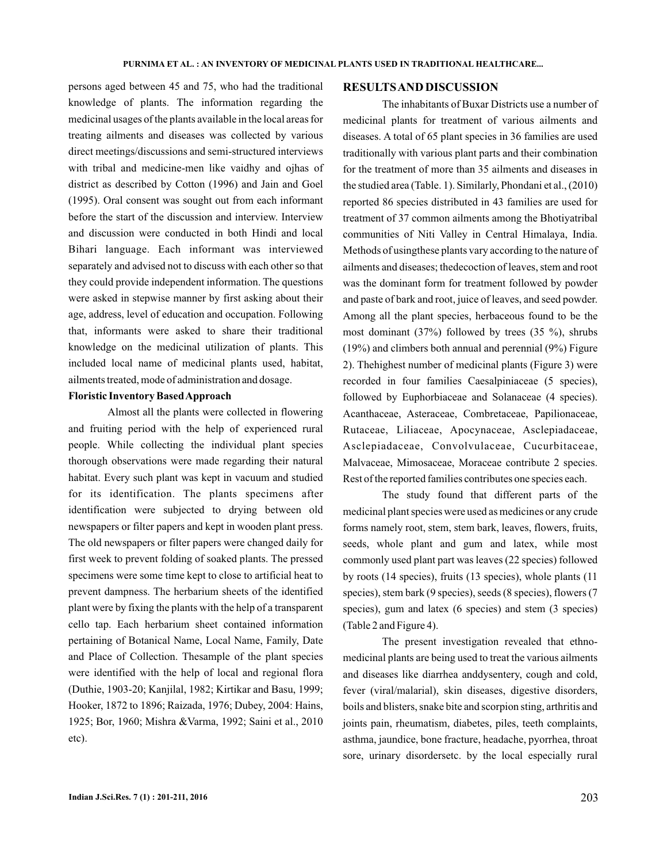persons aged between 45 and 75, who had the traditional knowledge of plants. The information regarding the medicinal usages of the plants available in the local areas for treating ailments and diseases was collected by various direct meetings/discussions and semi-structured interviews with tribal and medicine-men like vaidhy and ojhas of district as described by Cotton (1996) and Jain and Goel (1995). Oral consent was sought out from each informant before the start of the discussion and interview. Interview and discussion were conducted in both Hindi and local Bihari language. Each informant was interviewed separately and advised not to discuss with each other so that they could provide independent information. The questions were asked in stepwise manner by first asking about their age, address, level of education and occupation. Following that, informants were asked to share their traditional knowledge on the medicinal utilization of plants. This included local name of medicinal plants used, habitat, ailments treated, mode of administration and dosage.

### **Floristic Inventory BasedApproach**

Almost all the plants were collected in flowering and fruiting period with the help of experienced rural people. While collecting the individual plant species thorough observations were made regarding their natural habitat. Every such plant was kept in vacuum and studied for its identification. The plants specimens after identification were subjected to drying between old newspapers or filter papers and kept in wooden plant press. The old newspapers or filter papers were changed daily for first week to prevent folding of soaked plants. The pressed specimens were some time kept to close to artificial heat to prevent dampness. The herbarium sheets of the identified plant were by fixing the plants with the help of a transparent cello tap. Each herbarium sheet contained information pertaining of Botanical Name, Local Name, Family, Date and Place of Collection. Thesample of the plant species were identified with the help of local and regional flora (Duthie, 1903-20; Kanjilal, 1982; Kirtikar and Basu, 1999; Hooker, 1872 to 1896; Raizada, 1976; Dubey, 2004: Hains, 1925; Bor, 1960; Mishra &Varma, 1992; Saini et al., 2010 etc).

#### **RESULTSAND DISCUSSION**

The inhabitants of Buxar Districts use a number of medicinal plants for treatment of various ailments and diseases. A total of 65 plant species in 36 families are used traditionally with various plant parts and their combination for the treatment of more than 35 ailments and diseases in the studied area (Table. 1). Similarly, Phondani et al., (2010) reported 86 species distributed in 43 families are used for treatment of 37 common ailments among the Bhotiyatribal communities of Niti Valley in Central Himalaya, India. Methods of usingthese plants vary according to the nature of ailments and diseases; thedecoction of leaves, stem and root was the dominant form for treatment followed by powder and paste of bark and root, juice of leaves, and seed powder. Among all the plant species, herbaceous found to be the most dominant (37%) followed by trees (35 %), shrubs (19%) and climbers both annual and perennial (9%) Figure 2). Thehighest number of medicinal plants (Figure 3) were recorded in four families Caesalpiniaceae (5 species), followed by Euphorbiaceae and Solanaceae (4 species). Acanthaceae, Asteraceae, Combretaceae, Papilionaceae, Rutaceae, Liliaceae, Apocynaceae, Asclepiadaceae, Asclepiadaceae, Convolvulaceae, Cucurbitaceae, Malvaceae, Mimosaceae, Moraceae contribute 2 species. Rest of the reported families contributes one species each.

The study found that different parts of the medicinal plant species were used as medicines or any crude forms namely root, stem, stem bark, leaves, flowers, fruits, seeds, whole plant and gum and latex, while most commonly used plant part was leaves (22 species) followed by roots (14 species), fruits (13 species), whole plants (11 species), stem bark (9 species), seeds (8 species), flowers (7 species), gum and latex (6 species) and stem (3 species) (Table 2 and Figure 4).

The present investigation revealed that ethnomedicinal plants are being used to treat the various ailments and diseases like diarrhea anddysentery, cough and cold, fever (viral/malarial), skin diseases, digestive disorders, boils and blisters, snake bite and scorpion sting, arthritis and joints pain, rheumatism, diabetes, piles, teeth complaints, asthma, jaundice, bone fracture, headache, pyorrhea, throat sore, urinary disordersetc. by the local especially rural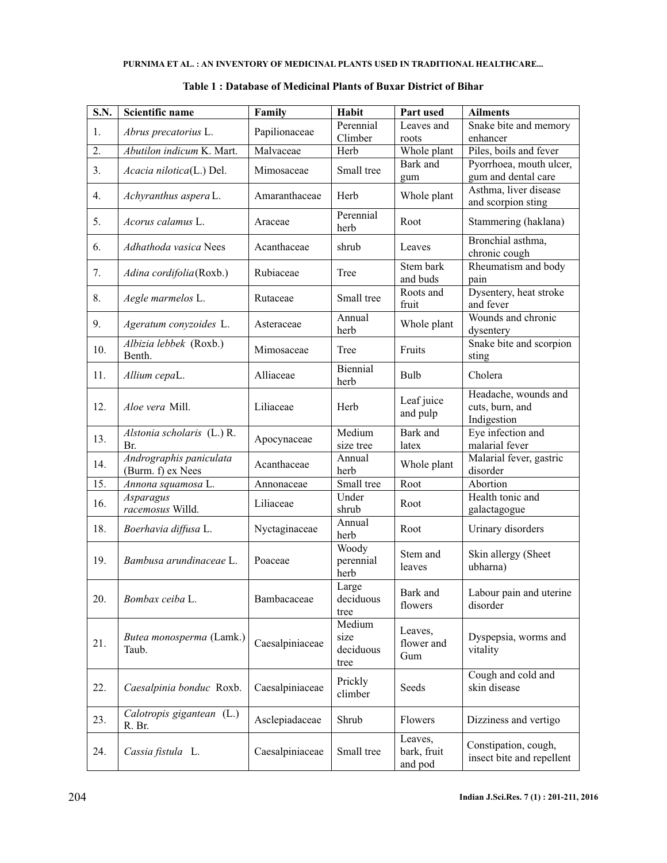| <b>S.N.</b> | Scientific name                              | Family          | Habit                               | Part used                         | <b>Ailments</b>                                        |
|-------------|----------------------------------------------|-----------------|-------------------------------------|-----------------------------------|--------------------------------------------------------|
| 1.          | Abrus precatorius L.                         | Papilionaceae   | Perennial                           | Leaves and                        | Snake bite and memory                                  |
|             |                                              |                 | Climber                             | roots                             | enhancer                                               |
| 2.          | Abutilon indicum K. Mart.                    | Malvaceae       | Herb                                | Whole plant                       | Piles, boils and fever                                 |
| 3.          | Acacia nilotica(L.) Del.                     | Mimosaceae      | Small tree                          | Bark and<br>gum                   | Pyorrhoea, mouth ulcer,<br>gum and dental care         |
| 4.          | Achyranthus aspera L.                        | Amaranthaceae   | Herb                                | Whole plant                       | Asthma, liver disease<br>and scorpion sting            |
| 5.          | Acorus calamus L.                            | Araceae         | Perennial<br>herb                   | Root                              | Stammering (haklana)                                   |
| 6.          | Adhathoda vasica Nees                        | Acanthaceae     | shrub                               | Leaves                            | Bronchial asthma,<br>chronic cough                     |
| 7.          | Adina cordifolia(Roxb.)                      | Rubiaceae       | Tree                                | Stem bark<br>and buds             | Rheumatism and body<br>pain                            |
| 8.          | Aegle marmelos L.                            | Rutaceae        | Small tree                          | Roots and<br>fruit                | Dysentery, heat stroke<br>and fever                    |
| 9.          | Ageratum conyzoides L.                       | Asteraceae      | Annual<br>herb                      | Whole plant                       | Wounds and chronic<br>dysentery                        |
| 10.         | Albizia lebbek (Roxb.)<br>Benth.             | Mimosaceae      | Tree                                | Fruits                            | Snake bite and scorpion<br>sting                       |
| 11.         | Allium cepaL.                                | Alliaceae       | Biennial<br>herb                    | Bulb                              | Cholera                                                |
| 12.         | Aloe vera Mill.                              | Liliaceae       | Herb                                | Leaf juice<br>and pulp            | Headache, wounds and<br>cuts, burn, and<br>Indigestion |
| 13.         | Alstonia scholaris (L.) R.                   | Apocynaceae     | Medium                              | Bark and                          | Eye infection and                                      |
|             | Br.                                          |                 | size tree                           | latex                             | malarial fever                                         |
| 14.         | Andrographis paniculata<br>(Burm. f) ex Nees | Acanthaceae     | Annual<br>herb                      | Whole plant                       | Malarial fever, gastric<br>disorder                    |
| 15.         | Annona squamosa L.                           | Annonaceae      | Small tree                          | Root                              | Abortion                                               |
| 16.         | Asparagus<br>racemosus Willd.                | Liliaceae       | Under<br>shrub                      | Root                              | Health tonic and<br>galactagogue                       |
| 18.         | Boerhavia diffusa L.                         | Nyctaginaceae   | Annual<br>herb                      | Root                              | Urinary disorders                                      |
| 19.         | Bambusa arundinaceae L.                      | Poaceae         | Woody<br>perennial<br>herb          | Stem and<br>leaves                | Skin allergy (Sheet<br>ubharna)                        |
| 20.         | Bombax ceiba L.                              | Bambacaceae     | Large<br>deciduous<br>tree          | Bark and<br>flowers               | Labour pain and uterine<br>disorder                    |
| 21.         | Butea monosperma (Lamk.)<br>Taub.            | Caesalpiniaceae | Medium<br>size<br>deciduous<br>tree | Leaves,<br>flower and<br>Gum      | Dyspepsia, worms and<br>vitality                       |
| 22.         | Caesalpinia bonduc Roxb.                     | Caesalpiniaceae | Prickly<br>climber                  | Seeds                             | Cough and cold and<br>skin disease                     |
| 23.         | Calotropis gigantean (L.)<br>R. Br.          | Asclepiadaceae  | Shrub                               | Flowers                           | Dizziness and vertigo                                  |
| 24.         | Cassia fistula L.                            | Caesalpiniaceae | Small tree                          | Leaves,<br>bark, fruit<br>and pod | Constipation, cough,<br>insect bite and repellent      |

### **Table 1 : Database of Medicinal Plants of Buxar District of Bihar**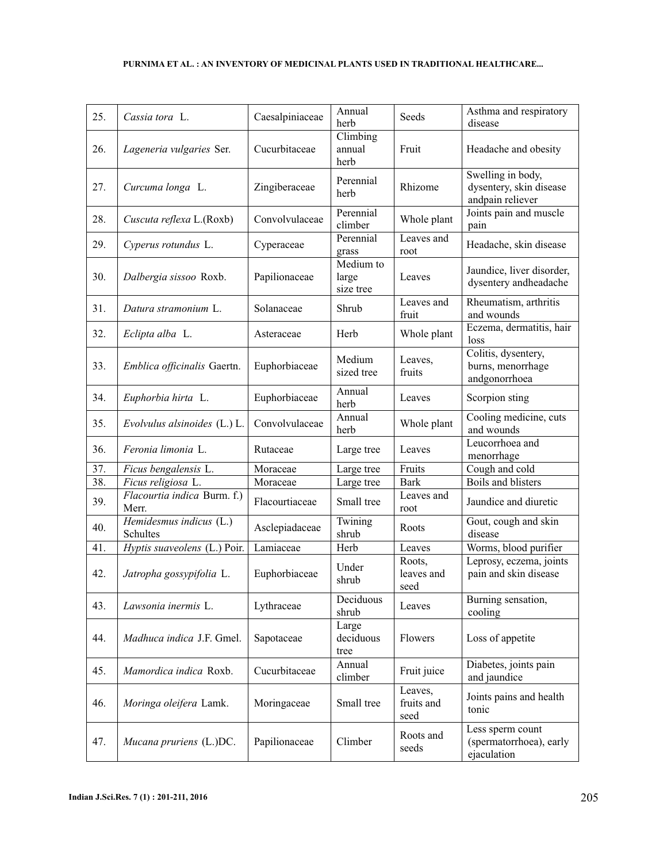| 25. | Cassia tora L.                       | Caesalpiniaceae | Annual<br>herb                  | Seeds                         | Asthma and respiratory<br>disease                                |
|-----|--------------------------------------|-----------------|---------------------------------|-------------------------------|------------------------------------------------------------------|
| 26. | Lageneria vulgaries Ser.             | Cucurbitaceae   | Climbing<br>annual<br>herb      | Fruit                         | Headache and obesity                                             |
| 27. | Curcuma longa L.                     | Zingiberaceae   | Perennial<br>herb               | Rhizome                       | Swelling in body,<br>dysentery, skin disease<br>andpain reliever |
| 28. | Cuscuta reflexa L.(Roxb)             | Convolvulaceae  | Perennial<br>climber            | Whole plant                   | Joints pain and muscle<br>pain                                   |
| 29. | Cyperus rotundus L.                  | Cyperaceae      | Perennial<br>grass              | Leaves and<br>root            | Headache, skin disease                                           |
| 30. | Dalbergia sissoo Roxb.               | Papilionaceae   | Medium to<br>large<br>size tree | Leaves                        | Jaundice, liver disorder,<br>dysentery andheadache               |
| 31. | Datura stramonium L.                 | Solanaceae      | Shrub                           | Leaves and<br>fruit           | Rheumatism, arthritis<br>and wounds                              |
| 32. | Eclipta alba L.                      | Asteraceae      | Herb                            | Whole plant                   | Eczema, dermatitis, hair<br>loss                                 |
| 33. | Emblica officinalis Gaertn.          | Euphorbiaceae   | Medium<br>sized tree            | Leaves,<br>fruits             | Colitis, dysentery,<br>burns, menorrhage<br>andgonorrhoea        |
| 34. | Euphorbia hirta L.                   | Euphorbiaceae   | Annual<br>herb                  | Leaves                        | Scorpion sting                                                   |
| 35. | Evolvulus alsinoides (L.) L.         | Convolvulaceae  | Annual<br>herb                  | Whole plant                   | Cooling medicine, cuts<br>and wounds                             |
| 36. | Feronia limonia L.                   | Rutaceae        | Large tree                      | Leaves                        | Leucorrhoea and<br>menorrhage                                    |
| 37. | Ficus bengalensis L.                 | Moraceae        | Large tree                      | Fruits                        | Cough and cold                                                   |
| 38. | Ficus religiosa L.                   | Moraceae        | Large tree                      | <b>Bark</b>                   | Boils and blisters                                               |
| 39. | Flacourtia indica Burm. f.)<br>Merr. | Flacourtiaceae  | Small tree                      | Leaves and<br>root            | Jaundice and diuretic                                            |
| 40. | Hemidesmus indicus (L.)<br>Schultes  | Asclepiadaceae  | Twining<br>shrub                | Roots                         | Gout, cough and skin<br>disease                                  |
| 41. | Hyptis suaveolens (L.) Poir.         | Lamiaceae       | Herb                            | Leaves                        | Worms, blood purifier                                            |
| 42. | Jatropha gossypifolia L.             | Euphorbiaceae   | Under<br>shrub                  | Roots,<br>leaves and<br>seed  | Leprosy, eczema, joints<br>pain and skin disease                 |
| 43. | Lawsonia inermis L.                  | Lythraceae      | Deciduous<br>shrub              | Leaves                        | Burning sensation,<br>cooling                                    |
| 44. | Madhuca indica J.F. Gmel.            | Sapotaceae      | Large<br>deciduous<br>tree      | Flowers                       | Loss of appetite                                                 |
| 45. | Mamordica indica Roxb.               | Cucurbitaceae   | Annual<br>climber               | Fruit juice                   | Diabetes, joints pain<br>and jaundice                            |
| 46. | Moringa oleifera Lamk.               | Moringaceae     | Small tree                      | Leaves,<br>fruits and<br>seed | Joints pains and health<br>tonic                                 |
| 47. | Mucana pruriens (L.)DC.              | Papilionaceae   | Climber                         | Roots and<br>seeds            | Less sperm count<br>(spermatorrhoea), early<br>ejaculation       |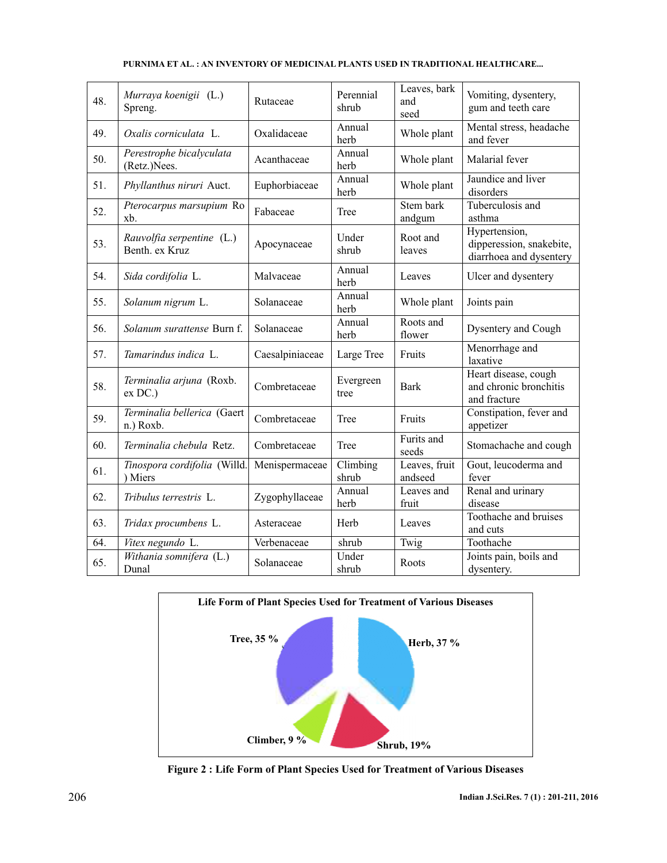| 48. | Murraya koenigii (L.)<br>Spreng.            | Rutaceae        | Perennial<br>shrub | Leaves, bark<br>and<br>seed | Vomiting, dysentery,<br>gum and teeth care                           |
|-----|---------------------------------------------|-----------------|--------------------|-----------------------------|----------------------------------------------------------------------|
| 49. | Oxalis corniculata L.                       | Oxalidaceae     | Annual<br>herb     | Whole plant                 | Mental stress, headache<br>and fever                                 |
| 50. | Perestrophe bicalyculata<br>(Retz.)Nees.    | Acanthaceae     | Annual<br>herb     | Whole plant                 | Malarial fever                                                       |
| 51. | Phyllanthus niruri Auct.                    | Euphorbiaceae   | Annual<br>herb     | Whole plant                 | Jaundice and liver<br>disorders                                      |
| 52. | Pterocarpus marsupium Ro<br>xb.             | Fabaceae        | Tree               | Stem bark<br>andgum         | Tuberculosis and<br>asthma                                           |
| 53. | Rauvolfia serpentine (L.)<br>Benth. ex Kruz | Apocynaceae     | Under<br>shrub     | Root and<br>leaves          | Hypertension,<br>dipperession, snakebite,<br>diarrhoea and dysentery |
| 54. | Sida cordifolia L.                          | Malvaceae       | Annual<br>herb     | Leaves                      | Ulcer and dysentery                                                  |
| 55. | Solanum nigrum L.                           | Solanaceae      | Annual<br>herb     | Whole plant                 | Joints pain                                                          |
| 56. | Solanum surattense Burn f.                  | Solanaceae      | Annual<br>herb     | Roots and<br>flower         | Dysentery and Cough                                                  |
| 57. | Tamarindus indica L.                        | Caesalpiniaceae | Large Tree         | Fruits                      | Menorrhage and<br>laxative                                           |
| 58. | Terminalia arjuna (Roxb.<br>$ex$ DC.)       | Combretaceae    | Evergreen<br>tree  | <b>Bark</b>                 | Heart disease, cough<br>and chronic bronchitis<br>and fracture       |
| 59. | Terminalia bellerica (Gaert<br>n.) Roxb.    | Combretaceae    | Tree               | Fruits                      | Constipation, fever and<br>appetizer                                 |
| 60. | Terminalia chebula Retz.                    | Combretaceae    | Tree               | Furits and<br>seeds         | Stomachache and cough                                                |
| 61. | Tinospora cordifolia (Willd.<br>) Miers     | Menispermaceae  | Climbing<br>shrub  | Leaves, fruit<br>andseed    | Gout, leucoderma and<br>fever                                        |
| 62. | Tribulus terrestris L.                      | Zygophyllaceae  | Annual<br>herb     | Leaves and<br>fruit         | Renal and urinary<br>disease                                         |
| 63. | Tridax procumbens L.                        | Asteraceae      | Herb               | Leaves                      | Toothache and bruises<br>and cuts                                    |
| 64. | Vitex negundo L.                            | Verbenaceae     | shrub              | Twig                        | Toothache                                                            |
| 65. | Withania somnifera (L.)<br>Dunal            | Solanaceae      | Under<br>shrub     | Roots                       | Joints pain, boils and<br>dysentery.                                 |



**Figure 2 : Life Form of Plant Species Used for Treatment of Various Diseases**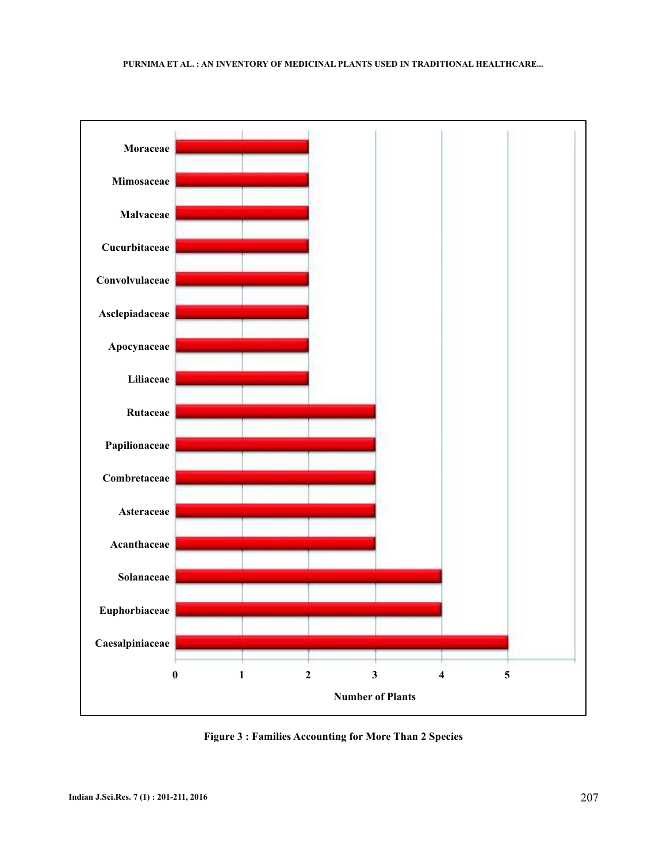

**Figure 3 : Families Accounting for More Than 2 Species**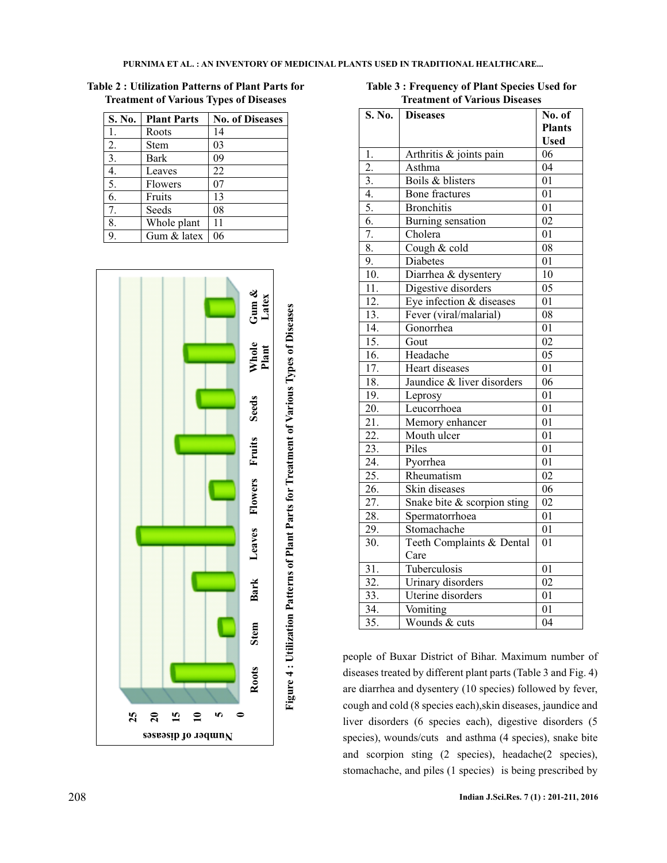**Table 2 : Utilization Patterns of Plant Parts for Treatment of Various Types of Diseases**

| S. No. | <b>Plant Parts</b> | <b>No. of Diseases</b> |
|--------|--------------------|------------------------|
| 1.     | Roots              | 14                     |
| 2.     | Stem               | 03                     |
| 3.     | Bark               | 09                     |
| 4.     | Leaves             | 22                     |
| 5.     | Flowers            | 07                     |
| 6.     | Fruits             | 13                     |
| 7.     | Seeds              | 08                     |
| 8.     | Whole plant        | 11                     |
| 9.     | Gum & latex        | 06                     |



**Table 3 : Frequency of Plant Species Used for Treatment of Various Diseases**

| S. No.            | <b>Diseases</b>             | No. of<br><b>Plants</b> |
|-------------------|-----------------------------|-------------------------|
|                   |                             | <b>Used</b>             |
| 1.                | Arthritis & joints pain     | 06                      |
| $\overline{2}$ .  | Asthma                      | 04                      |
| $\overline{3}$ .  | Boils & blisters            | 01                      |
| $\overline{4}$ .  | Bone fractures              | 01                      |
| 5.                | <b>Bronchitis</b>           | 01                      |
| 6.                | Burning sensation           | 02                      |
| 7.                | Cholera                     | 01                      |
| 8.                | Cough & cold                | 08                      |
| 9.                | <b>Diabetes</b>             | 01                      |
| 10.               | Diarrhea & dysentery        | 10                      |
| 11.               | Digestive disorders         | 05                      |
| 12.               | Eye infection & diseases    | 01                      |
| 13.               | Fever (viral/malarial)      | 08                      |
| 14.               | Gonorrhea                   | 01                      |
| 15.               | Gout                        | 02                      |
| 16.               | Headache                    | 05                      |
| $\overline{17}$ . | Heart diseases              | 01                      |
| 18.               | Jaundice & liver disorders  | 06                      |
| 19.               | Leprosy                     | 01                      |
| 20.               | Leucorrhoea                 | 01                      |
| 21.               | Memory enhancer             | 01                      |
| 22.               | Mouth ulcer                 | 01                      |
| 23.               | Piles                       | 01                      |
| $\overline{24}$ . | Pyorrhea                    | 01                      |
| 25.               | Rheumatism                  | 02                      |
| 26.               | Skin diseases               | 06                      |
| 27.               | Snake bite & scorpion sting | 02                      |
| $\overline{28}$ . | Spermatorrhoea              | 01                      |
| 29.               | Stomachache                 | 01                      |
| 30.               | Teeth Complaints & Dental   | 01                      |
|                   | Care                        |                         |
| 31.               | Tuberculosis                | 01                      |
| 32.               | Urinary disorders           | 02                      |
| $\overline{33}$ . | Uterine disorders           | 01                      |
| 34.               | Vomiting                    | 01                      |
| 35.               | Wounds & cuts               | 04                      |

people of Buxar District of Bihar. Maximum number of diseases treated by different plant parts (Table 3 and Fig. 4) are diarrhea and dysentery (10 species) followed by fever, cough and cold (8 species each),skin diseases, jaundice and liver disorders (6 species each), digestive disorders (5 species), wounds/cuts and asthma (4 species), snake bite and scorpion sting (2 species), headache(2 species), stomachache, and piles (1 species) is being prescribed by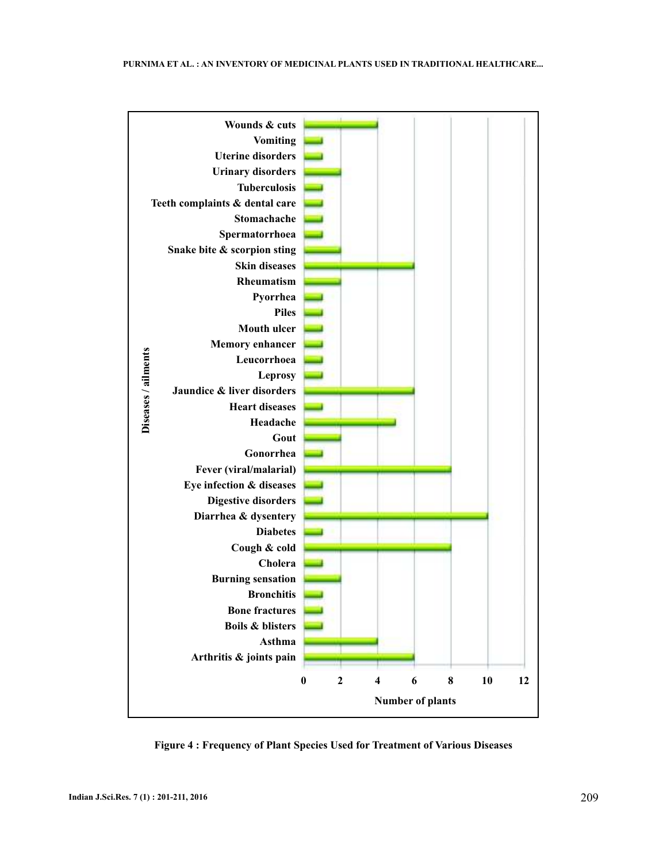

**Figure 4 : Frequency of Plant Species Used for Treatment of Various Diseases**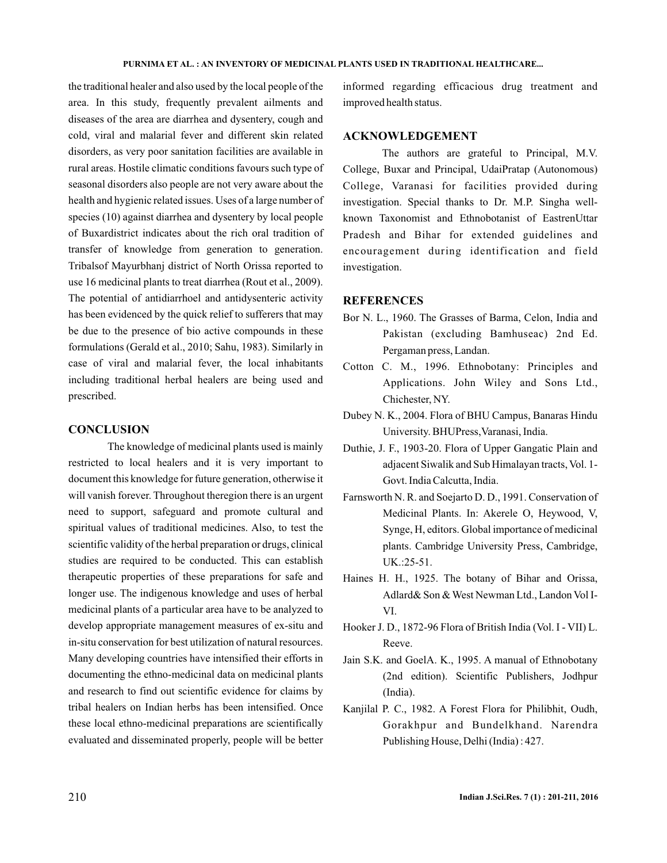the traditional healer and also used by the local people of the area. In this study, frequently prevalent ailments and diseases of the area are diarrhea and dysentery, cough and cold, viral and malarial fever and different skin related disorders, as very poor sanitation facilities are available in rural areas. Hostile climatic conditions favours such type of seasonal disorders also people are not very aware about the health and hygienic related issues. Uses of a large number of species (10) against diarrhea and dysentery by local people of Buxardistrict indicates about the rich oral tradition of transfer of knowledge from generation to generation. Tribalsof Mayurbhanj district of North Orissa reported to use 16 medicinal plants to treat diarrhea (Rout et al., 2009). The potential of antidiarrhoel and antidysenteric activity has been evidenced by the quick relief to sufferers that may be due to the presence of bio active compounds in these formulations (Gerald et al., 2010; Sahu, 1983). Similarly in case of viral and malarial fever, the local inhabitants including traditional herbal healers are being used and prescribed.

### **CONCLUSION**

The knowledge of medicinal plants used is mainly restricted to local healers and it is very important to document this knowledge for future generation, otherwise it will vanish forever. Throughout theregion there is an urgent need to support, safeguard and promote cultural and spiritual values of traditional medicines. Also, to test the scientific validity of the herbal preparation or drugs, clinical studies are required to be conducted. This can establish therapeutic properties of these preparations for safe and longer use. The indigenous knowledge and uses of herbal medicinal plants of a particular area have to be analyzed to develop appropriate management measures of ex-situ and in-situ conservation for best utilization of natural resources. Many developing countries have intensified their efforts in documenting the ethno-medicinal data on medicinal plants and research to find out scientific evidence for claims by tribal healers on Indian herbs has been intensified. Once these local ethno-medicinal preparations are scientifically evaluated and disseminated properly, people will be better

informed regarding efficacious drug treatment and improved health status.

### **ACKNOWLEDGEMENT**

The authors are grateful to Principal, M.V. College, Buxar and Principal, UdaiPratap (Autonomous) College, Varanasi for facilities provided during investigation. Special thanks to Dr. M.P. Singha wellknown Taxonomist and Ethnobotanist of EastrenUttar Pradesh and Bihar for extended guidelines and encouragement during identification and field investigation.

#### **REFERENCES**

- Bor N. L., 1960. The Grasses of Barma, Celon, India and Pakistan (excluding Bamhuseac) 2nd Ed. Pergaman press, Landan.
- Cotton C. M., 1996. Ethnobotany: Principles and Applications. John Wiley and Sons Ltd., Chichester, NY.
- Dubey N. K., 2004. Flora of BHU Campus, Banaras Hindu University. BHUPress,Varanasi, India.
- Duthie, J. F., 1903-20. Flora of Upper Gangatic Plain and adjacent Siwalik and Sub Himalayan tracts, Vol. 1- Govt. India Calcutta, India.
- Farnsworth N. R. and Soejarto D. D., 1991. Conservation of Medicinal Plants. In: Akerele O, Heywood, V, Synge, H, editors. Global importance of medicinal plants. Cambridge University Press, Cambridge, UK.:25-51.
- Haines H. H., 1925. The botany of Bihar and Orissa, Adlard& Son & West Newman Ltd., Landon Vol I-VI.
- Hooker J. D., 1872-96 Flora of British India (Vol. I VII) L. Reeve.
- Jain S.K. and GoelA. K., 1995. A manual of Ethnobotany (2nd edition). Scientific Publishers, Jodhpur (India).
- Kanjilal P. C., 1982. A Forest Flora for Philibhit, Oudh, Gorakhpur and Bundelkhand. Narendra Publishing House, Delhi (India) : 427.